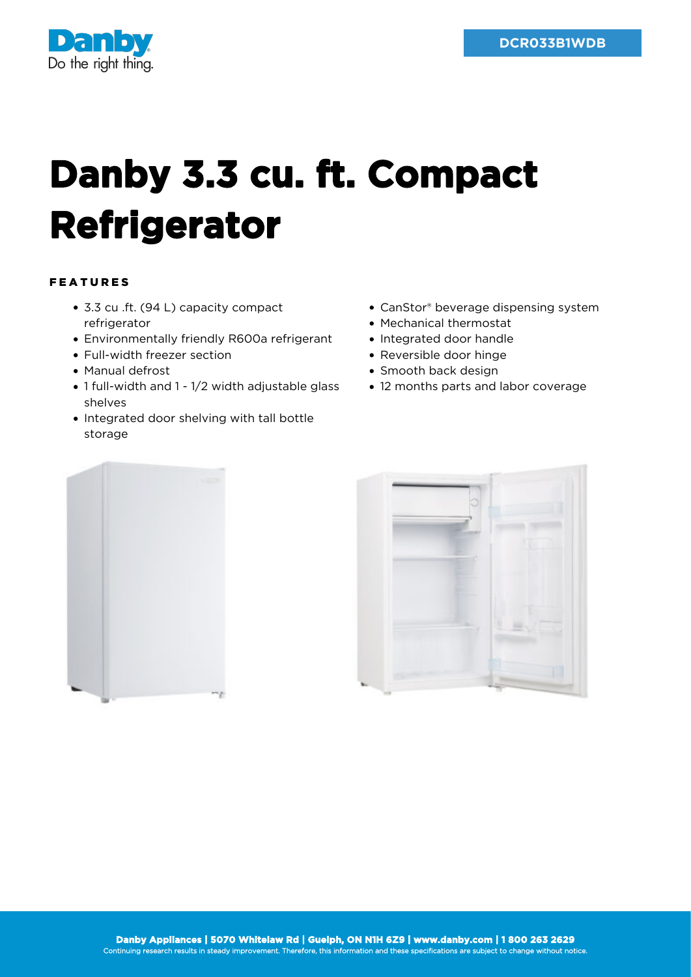

## **Danby 3.3 cu. ft. Compact Refrigerator**

## FEATURES

- 3.3 cu .ft. (94 L) capacity compact refrigerator
- Environmentally friendly R600a refrigerant
- Full-width freezer section
- Manual defrost
- 1 full-width and 1 1/2 width adjustable glass shelves
- Integrated door shelving with tall bottle storage
- CanStor® beverage dispensing system
- Mechanical thermostat
- Integrated door handle
- Reversible door hinge
- Smooth back design
- 12 months parts and labor coverage